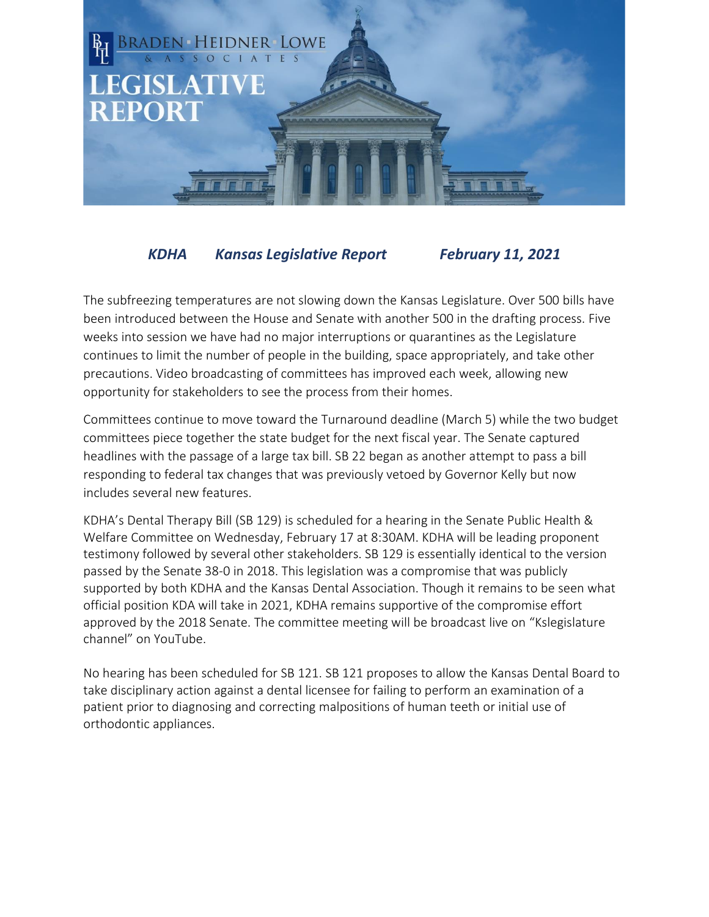

## *KDHA Kansas Legislative Report February 11, 2021*

The subfreezing temperatures are not slowing down the Kansas Legislature. Over 500 bills have been introduced between the House and Senate with another 500 in the drafting process. Five weeks into session we have had no major interruptions or quarantines as the Legislature continues to limit the number of people in the building, space appropriately, and take other precautions. Video broadcasting of committees has improved each week, allowing new opportunity for stakeholders to see the process from their homes.

Committees continue to move toward the Turnaround deadline (March 5) while the two budget committees piece together the state budget for the next fiscal year. The Senate captured headlines with the passage of a large tax bill. SB 22 began as another attempt to pass a bill responding to federal tax changes that was previously vetoed by Governor Kelly but now includes several new features.

KDHA's Dental Therapy Bill (SB 129) is scheduled for a hearing in the Senate Public Health & Welfare Committee on Wednesday, February 17 at 8:30AM. KDHA will be leading proponent testimony followed by several other stakeholders. SB 129 is essentially identical to the version passed by the Senate 38-0 in 2018. This legislation was a compromise that was publicly supported by both KDHA and the Kansas Dental Association. Though it remains to be seen what official position KDA will take in 2021, KDHA remains supportive of the compromise effort approved by the 2018 Senate. The committee meeting will be broadcast live on "Kslegislature channel" on YouTube.

No hearing has been scheduled for SB 121. SB 121 proposes to allow the Kansas Dental Board to take disciplinary action against a dental licensee for failing to perform an examination of a patient prior to diagnosing and correcting malpositions of human teeth or initial use of orthodontic appliances.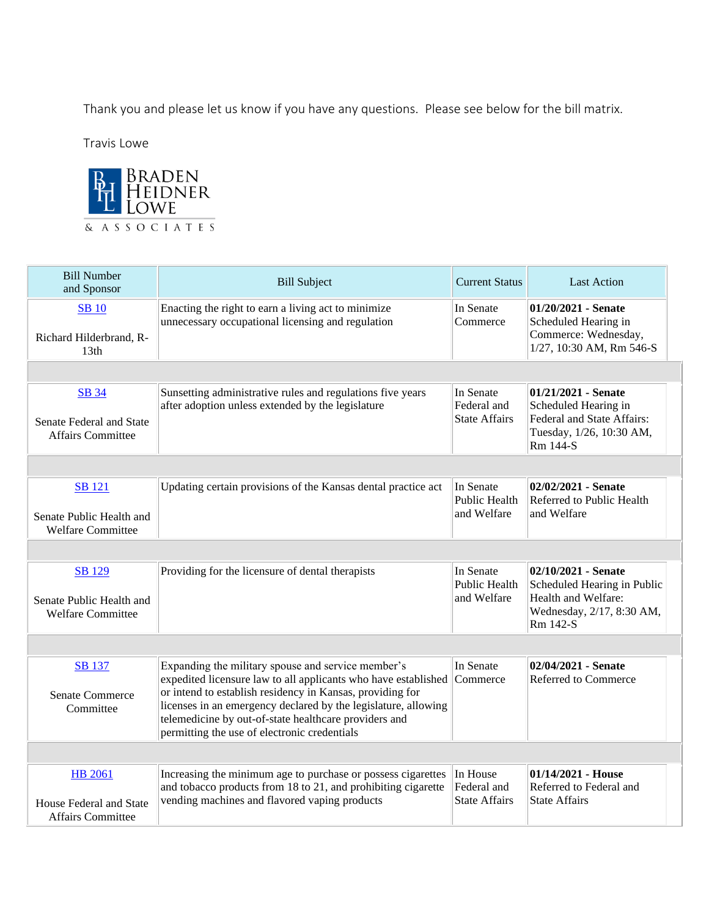Thank you and please let us know if you have any questions. Please see below for the bill matrix.

Travis Lowe



| <b>Bill Number</b><br>and Sponsor                                     | <b>Bill Subject</b>                                                                                                                                                                                                                                                                                                                                          | <b>Current Status</b>                            | <b>Last Action</b>                                                                                                 |  |  |
|-----------------------------------------------------------------------|--------------------------------------------------------------------------------------------------------------------------------------------------------------------------------------------------------------------------------------------------------------------------------------------------------------------------------------------------------------|--------------------------------------------------|--------------------------------------------------------------------------------------------------------------------|--|--|
| <b>SB</b> 10<br>Richard Hilderbrand, R-<br>13th                       | Enacting the right to earn a living act to minimize<br>unnecessary occupational licensing and regulation                                                                                                                                                                                                                                                     | In Senate<br>Commerce                            | 01/20/2021 - Senate<br>Scheduled Hearing in<br>Commerce: Wednesday,<br>1/27, 10:30 AM, Rm 546-S                    |  |  |
|                                                                       |                                                                                                                                                                                                                                                                                                                                                              |                                                  |                                                                                                                    |  |  |
| <b>SB 34</b><br>Senate Federal and State<br><b>Affairs Committee</b>  | Sunsetting administrative rules and regulations five years<br>after adoption unless extended by the legislature                                                                                                                                                                                                                                              | In Senate<br>Federal and<br><b>State Affairs</b> | 01/21/2021 - Senate<br>Scheduled Hearing in<br>Federal and State Affairs:<br>Tuesday, 1/26, 10:30 AM,<br>Rm 144-S  |  |  |
|                                                                       |                                                                                                                                                                                                                                                                                                                                                              |                                                  |                                                                                                                    |  |  |
| <b>SB</b> 121<br>Senate Public Health and<br><b>Welfare Committee</b> | Updating certain provisions of the Kansas dental practice act                                                                                                                                                                                                                                                                                                | In Senate<br><b>Public Health</b><br>and Welfare | 02/02/2021 - Senate<br>Referred to Public Health<br>and Welfare                                                    |  |  |
|                                                                       |                                                                                                                                                                                                                                                                                                                                                              |                                                  |                                                                                                                    |  |  |
| <b>SB</b> 129<br>Senate Public Health and<br><b>Welfare Committee</b> | Providing for the licensure of dental therapists                                                                                                                                                                                                                                                                                                             | In Senate<br>Public Health<br>and Welfare        | 02/10/2021 - Senate<br>Scheduled Hearing in Public<br>Health and Welfare:<br>Wednesday, 2/17, 8:30 AM,<br>Rm 142-S |  |  |
|                                                                       |                                                                                                                                                                                                                                                                                                                                                              |                                                  |                                                                                                                    |  |  |
| <b>SB 137</b><br><b>Senate Commerce</b><br>Committee                  | Expanding the military spouse and service member's<br>expedited licensure law to all applicants who have established<br>or intend to establish residency in Kansas, providing for<br>licenses in an emergency declared by the legislature, allowing<br>telemedicine by out-of-state healthcare providers and<br>permitting the use of electronic credentials | In Senate<br>Commerce                            | 02/04/2021 - Senate<br>Referred to Commerce                                                                        |  |  |
|                                                                       |                                                                                                                                                                                                                                                                                                                                                              |                                                  |                                                                                                                    |  |  |
| <b>HB</b> 2061<br>House Federal and State<br><b>Affairs Committee</b> | Increasing the minimum age to purchase or possess cigarettes<br>and tobacco products from 18 to 21, and prohibiting cigarette<br>vending machines and flavored vaping products                                                                                                                                                                               | In House<br>Federal and<br><b>State Affairs</b>  | 01/14/2021 - House<br>Referred to Federal and<br><b>State Affairs</b>                                              |  |  |